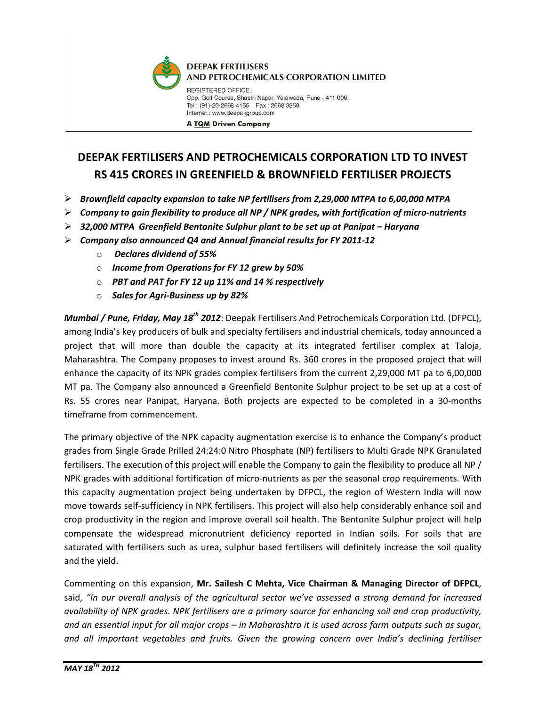

## DEEPAK FERTILISERS AND PETROCHEMICALS CORPORATION LTD TO INVEST RS 415 CRORES IN GREENFIELD & BROWNFIELD FERTILISER PROJECTS

- $\triangleright$  Brownfield capacity expansion to take NP fertilisers from 2,29,000 MTPA to 6,00,000 MTPA
- $\triangleright$  Company to gain flexibility to produce all NP / NPK grades, with fortification of micro-nutrients
- $\triangleright$  32,000 MTPA Greenfield Bentonite Sulphur plant to be set up at Panipat Haryana
- $\triangleright$  Company also announced Q4 and Annual financial results for FY 2011-12
	- o Declares dividend of 55%
	- $\circ$  Income from Operations for FY 12 grew by 50%
	- o PBT and PAT for FY 12 up 11% and 14 % respectively
	- $\circ$  Sales for Agri-Business up by 82%

Mumbai / Pune, Friday, May 18<sup>th</sup> 2012: Deepak Fertilisers And Petrochemicals Corporation Ltd. (DFPCL), among India's key producers of bulk and specialty fertilisers and industrial chemicals, today announced a project that will more than double the capacity at its integrated fertiliser complex at Taloja, Maharashtra. The Company proposes to invest around Rs. 360 crores in the proposed project that will enhance the capacity of its NPK grades complex fertilisers from the current 2,29,000 MT pa to 6,00,000 MT pa. The Company also announced a Greenfield Bentonite Sulphur project to be set up at a cost of Rs. 55 crores near Panipat, Haryana. Both projects are expected to be completed in a 30-months timeframe from commencement.

The primary objective of the NPK capacity augmentation exercise is to enhance the Company's product grades from Single Grade Prilled 24:24:0 Nitro Phosphate (NP) fertilisers to Multi Grade NPK Granulated fertilisers. The execution of this project will enable the Company to gain the flexibility to produce all NP / NPK grades with additional fortification of micro-nutrients as per the seasonal crop requirements. With this capacity augmentation project being undertaken by DFPCL, the region of Western India will now move towards self-sufficiency in NPK fertilisers. This project will also help considerably enhance soil and crop productivity in the region and improve overall soil health. The Bentonite Sulphur project will help compensate the widespread micronutrient deficiency reported in Indian soils. For soils that are saturated with fertilisers such as urea, sulphur based fertilisers will definitely increase the soil quality and the yield.

Commenting on this expansion, Mr. Sailesh C Mehta, Vice Chairman & Managing Director of DFPCL, said, "In our overall analysis of the agricultural sector we've assessed a strong demand for increased availability of NPK grades. NPK fertilisers are a primary source for enhancing soil and crop productivity, and an essential input for all major crops – in Maharashtra it is used across farm outputs such as sugar, and all important vegetables and fruits. Given the growing concern over India's declining fertiliser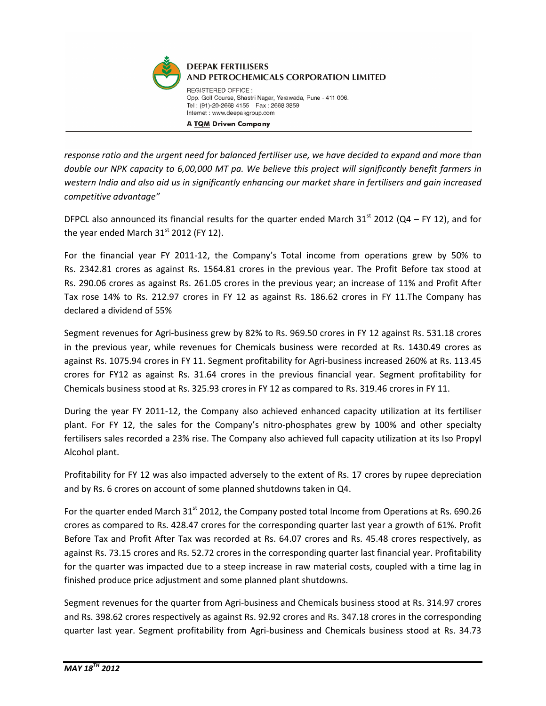

response ratio and the urgent need for balanced fertiliser use, we have decided to expand and more than double our NPK capacity to 6,00,000 MT pa. We believe this project will significantly benefit farmers in western India and also aid us in significantly enhancing our market share in fertilisers and gain increased competitive advantage"

DFPCL also announced its financial results for the quarter ended March 31<sup>st</sup> 2012 (Q4 – FY 12), and for the year ended March  $31<sup>st</sup>$  2012 (FY 12).

For the financial year FY 2011-12, the Company's Total income from operations grew by 50% to Rs. 2342.81 crores as against Rs. 1564.81 crores in the previous year. The Profit Before tax stood at Rs. 290.06 crores as against Rs. 261.05 crores in the previous year; an increase of 11% and Profit After Tax rose 14% to Rs. 212.97 crores in FY 12 as against Rs. 186.62 crores in FY 11.The Company has declared a dividend of 55%

Segment revenues for Agri-business grew by 82% to Rs. 969.50 crores in FY 12 against Rs. 531.18 crores in the previous year, while revenues for Chemicals business were recorded at Rs. 1430.49 crores as against Rs. 1075.94 crores in FY 11. Segment profitability for Agri-business increased 260% at Rs. 113.45 crores for FY12 as against Rs. 31.64 crores in the previous financial year. Segment profitability for Chemicals business stood at Rs. 325.93 crores in FY 12 as compared to Rs. 319.46 crores in FY 11.

During the year FY 2011-12, the Company also achieved enhanced capacity utilization at its fertiliser plant. For FY 12, the sales for the Company's nitro-phosphates grew by 100% and other specialty fertilisers sales recorded a 23% rise. The Company also achieved full capacity utilization at its Iso Propyl Alcohol plant.

Profitability for FY 12 was also impacted adversely to the extent of Rs. 17 crores by rupee depreciation and by Rs. 6 crores on account of some planned shutdowns taken in Q4.

For the quarter ended March  $31<sup>st</sup>$  2012, the Company posted total Income from Operations at Rs. 690.26 crores as compared to Rs. 428.47 crores for the corresponding quarter last year a growth of 61%. Profit Before Tax and Profit After Tax was recorded at Rs. 64.07 crores and Rs. 45.48 crores respectively, as against Rs. 73.15 crores and Rs. 52.72 crores in the corresponding quarter last financial year. Profitability for the quarter was impacted due to a steep increase in raw material costs, coupled with a time lag in finished produce price adjustment and some planned plant shutdowns.

Segment revenues for the quarter from Agri-business and Chemicals business stood at Rs. 314.97 crores and Rs. 398.62 crores respectively as against Rs. 92.92 crores and Rs. 347.18 crores in the corresponding quarter last year. Segment profitability from Agri-business and Chemicals business stood at Rs. 34.73